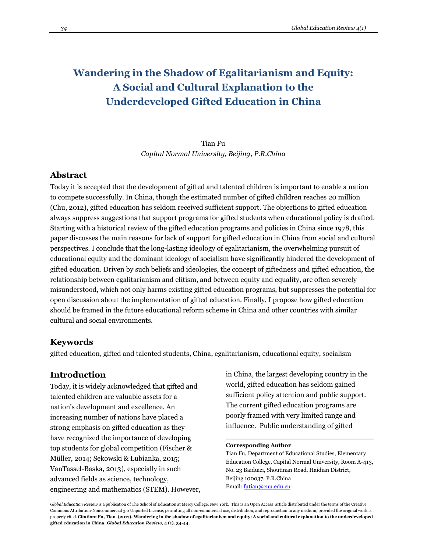# **Wandering in the Shadow of Egalitarianism and Equity: A Social and Cultural Explanation to the Underdeveloped Gifted Education in China**

Tian Fu *Capital Normal University, Beijing, P.R.China*

### **Abstract**

Today it is accepted that the development of gifted and talented children is important to enable a nation to compete successfully. In China, though the estimated number of gifted children reaches 20 million (Chu, 2012), gifted education has seldom received sufficient support. The objections to gifted education always suppress suggestions that support programs for gifted students when educational policy is drafted. Starting with a historical review of the gifted education programs and policies in China since 1978, this paper discusses the main reasons for lack of support for gifted education in China from social and cultural perspectives. I conclude that the long-lasting ideology of egalitarianism, the overwhelming pursuit of educational equity and the dominant ideology of socialism have significantly hindered the development of gifted education. Driven by such beliefs and ideologies, the concept of giftedness and gifted education, the relationship between egalitarianism and elitism, and between equity and equality, are often severely misunderstood, which not only harms existing gifted education programs, but suppresses the potential for open discussion about the implementation of gifted education. Finally, I propose how gifted education should be framed in the future educational reform scheme in China and other countries with similar cultural and social environments.

## **Keywords**

gifted education, gifted and talented students, China, egalitarianism, educational equity, socialism

### **Introduction**

Today, it is widely acknowledged that gifted and talented children are valuable assets for a nation's development and excellence. An increasing number of nations have placed a strong emphasis on gifted education as they have recognized the importance of developing top students for global competition (Fischer & Müller, 2014; Sękowski & Łubianka, 2015; VanTassel-Baska, 2013), especially in such advanced fields as science, technology, engineering and mathematics (STEM). However, in China, the largest developing country in the world, gifted education has seldom gained sufficient policy attention and public support. The current gifted education programs are poorly framed with very limited range and influence. Public understanding of gifted

### **Corresponding Author**

Tian Fu, Department of Educational Studies, Elementary Education College, Capital Normal University, Room A-413, No. 23 Baiduizi, Shoutinan Road, Haidian District, Beijing 100037, P.R.China Email: futian@cnu.edu.cn

\_\_\_\_\_\_\_\_\_\_\_\_\_\_\_\_\_\_\_\_\_\_\_\_\_\_\_\_\_\_\_\_\_

*Global Education Review* is a publication of The School of Education at Mercy College, New York. This is an Open Access article distributed under the terms of the Creative Commons Attribution-Noncommercial 3.0 Unported License, permitting all non-commercial use, distribution, and reproduction in any medium, provided the original work is properly cited. **Citation: Fu, Tian (2017). Wandering in the shadow of egalitarianism and equity: A social and cultural explanation to the underdeveloped gifted education in China.** *Global Education Review,* **4 (1). 34-44.**

*\_\_\_\_\_\_\_\_\_\_\_\_\_\_\_\_\_\_\_\_\_\_\_\_\_\_\_\_\_\_\_\_\_\_\_\_\_\_\_\_\_\_\_\_\_\_\_\_\_\_\_\_\_\_\_\_\_\_\_\_\_\_\_\_\_\_\_\_\_\_\_\_\_\_\_\_\_\_\_\_\_\_\_\_\_\_\_\_\_\_\_\_\_\_\_\_\_\_\_\_\_\_\_\_\_\_\_\_\_\_\_\_\_\_\_\_\_*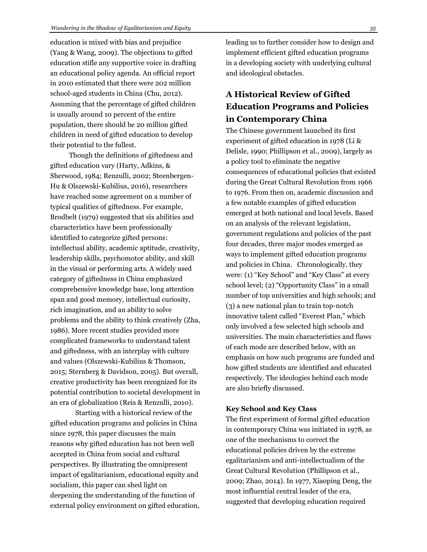education is mixed with bias and prejudice (Yang & Wang, 2009). The objections to gifted education stifle any supportive voice in drafting an educational policy agenda. An official report in 2010 estimated that there were 202 million school-aged students in China (Chu, 2012). Assuming that the percentage of gifted children is usually around 10 percent of the entire population, there should be 20 million gifted children in need of gifted education to develop their potential to the fullest.

Though the definitions of giftedness and gifted education vary (Harty, Adkins, & Sherwood, 1984; Renzulli, 2002; Steenbergen-Hu & Olszewski-Kubilius, 2016), researchers have reached some agreement on a number of typical qualities of giftedness. For example, Brodbelt (1979) suggested that six abilities and characteristics have been professionally identified to categorize gifted persons: intellectual ability, academic aptitude, creativity, leadership skills, psychomotor ability, and skill in the visual or performing arts. A widely used category of giftedness in China emphasized comprehensive knowledge base, long attention span and good memory, intellectual curiosity, rich imagination, and an ability to solve problems and the ability to think creatively (Zha, 1986). More recent studies provided more complicated frameworks to understand talent and giftedness, with an interplay with culture and values (Olszewski-Kubilius & Thomson, 2015; Sternberg & Davidson, 2005). But overall, creative productivity has been recognized for its potential contribution to societal development in an era of globalization (Reis & Renzulli, 2010).

Starting with a historical review of the gifted education programs and policies in China since 1978, this paper discusses the main reasons why gifted education has not been well accepted in China from social and cultural perspectives. By illustrating the omnipresent impact of egalitarianism, educational equity and socialism, this paper can shed light on deepening the understanding of the function of external policy environment on gifted education, leading us to further consider how to design and implement efficient gifted education programs in a developing society with underlying cultural and ideological obstacles.

## **A Historical Review of Gifted Education Programs and Policies in Contemporary China**

The Chinese government launched its first experiment of gifted education in 1978 (Li & Delisle, 1990; Phillipson et al., 2009), largely as a policy tool to eliminate the negative consequences of educational policies that existed during the Great Cultural Revolution from 1966 to 1976. From then on, academic discussion and a few notable examples of gifted education emerged at both national and local levels. Based on an analysis of the relevant legislation, government regulations and policies of the past four decades, three major modes emerged as ways to implement gifted education programs and policies in China. Chronologically, they were: (1) "Key School" and "Key Class" at every school level; (2) "Opportunity Class" in a small number of top universities and high schools; and (3) a new national plan to train top-notch innovative talent called "Everest Plan," which only involved a few selected high schools and universities. The main characteristics and flaws of each mode are described below, with an emphasis on how such programs are funded and how gifted students are identified and educated respectively. The ideologies behind each mode are also briefly discussed.

### **Key School and Key Class**

The first experiment of formal gifted education in contemporary China was initiated in 1978, as one of the mechanisms to correct the educational policies driven by the extreme egalitarianism and anti-intellectualism of the Great Cultural Revolution (Phillipson et al., 2009; Zhao, 2014). In 1977, Xiaoping Deng, the most influential central leader of the era, suggested that developing education required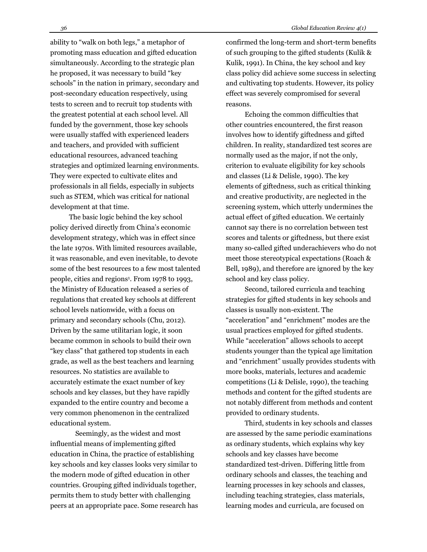ability to "walk on both legs," a metaphor of promoting mass education and gifted education simultaneously. According to the strategic plan he proposed, it was necessary to build "key schools" in the nation in primary, secondary and post-secondary education respectively, using tests to screen and to recruit top students with the greatest potential at each school level. All funded by the government, those key schools were usually staffed with experienced leaders and teachers, and provided with sufficient educational resources, advanced teaching strategies and optimized learning environments. They were expected to cultivate elites and professionals in all fields, especially in subjects such as STEM, which was critical for national development at that time.

The basic logic behind the key school policy derived directly from China's economic development strategy, which was in effect since the late 1970s. With limited resources available, it was reasonable, and even inevitable, to devote some of the best resources to a few most talented people, cities and regions<sup>1</sup>. From 1978 to 1993, the Ministry of Education released a series of regulations that created key schools at different school levels nationwide, with a focus on primary and secondary schools (Chu, 2012). Driven by the same utilitarian logic, it soon became common in schools to build their own "key class" that gathered top students in each grade, as well as the best teachers and learning resources. No statistics are available to accurately estimate the exact number of key schools and key classes, but they have rapidly expanded to the entire country and become a very common phenomenon in the centralized educational system.

Seemingly, as the widest and most influential means of implementing gifted education in China, the practice of establishing key schools and key classes looks very similar to the modern mode of gifted education in other countries. Grouping gifted individuals together, permits them to study better with challenging peers at an appropriate pace. Some research has confirmed the long-term and short-term benefits of such grouping to the gifted students (Kulik & Kulik, 1991). In China, the key school and key class policy did achieve some success in selecting and cultivating top students. However, its policy effect was severely compromised for several reasons.

Echoing the common difficulties that other countries encountered, the first reason involves how to identify giftedness and gifted children. In reality, standardized test scores are normally used as the major, if not the only, criterion to evaluate eligibility for key schools and classes (Li & Delisle, 1990). The key elements of giftedness, such as critical thinking and creative productivity, are neglected in the screening system, which utterly undermines the actual effect of gifted education. We certainly cannot say there is no correlation between test scores and talents or giftedness, but there exist many so-called gifted underachievers who do not meet those stereotypical expectations (Roach & Bell, 1989), and therefore are ignored by the key school and key class policy.

Second, tailored curricula and teaching strategies for gifted students in key schools and classes is usually non-existent. The "acceleration" and "enrichment" modes are the usual practices employed for gifted students. While "acceleration" allows schools to accept students younger than the typical age limitation and "enrichment" usually provides students with more books, materials, lectures and academic competitions (Li & Delisle, 1990), the teaching methods and content for the gifted students are not notably different from methods and content provided to ordinary students.

Third, students in key schools and classes are assessed by the same periodic examinations as ordinary students, which explains why key schools and key classes have become standardized test-driven. Differing little from ordinary schools and classes, the teaching and learning processes in key schools and classes, including teaching strategies, class materials, learning modes and curricula, are focused on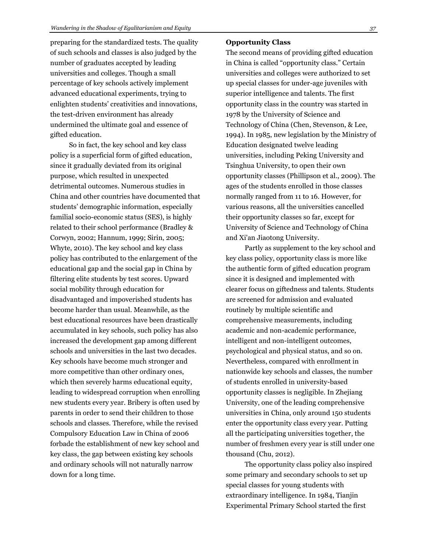preparing for the standardized tests. The quality of such schools and classes is also judged by the number of graduates accepted by leading universities and colleges. Though a small percentage of key schools actively implement advanced educational experiments, trying to enlighten students' creativities and innovations, the test-driven environment has already undermined the ultimate goal and essence of gifted education.

So in fact, the key school and key class policy is a superficial form of gifted education, since it gradually deviated from its original purpose, which resulted in unexpected detrimental outcomes. Numerous studies in China and other countries have documented that students' demographic information, especially familial socio-economic status (SES), is highly related to their school performance (Bradley & Corwyn, 2002; Hannum, 1999; Sirin, 2005; Whyte, 2010). The key school and key class policy has contributed to the enlargement of the educational gap and the social gap in China by filtering elite students by test scores. Upward social mobility through education for disadvantaged and impoverished students has become harder than usual. Meanwhile, as the best educational resources have been drastically accumulated in key schools, such policy has also increased the development gap among different schools and universities in the last two decades. Key schools have become much stronger and more competitive than other ordinary ones, which then severely harms educational equity, leading to widespread corruption when enrolling new students every year. Bribery is often used by parents in order to send their children to those schools and classes. Therefore, while the revised Compulsory Education Law in China of 2006 forbade the establishment of new key school and key class, the gap between existing key schools and ordinary schools will not naturally narrow down for a long time.

#### **Opportunity Class**

The second means of providing gifted education in China is called "opportunity class." Certain universities and colleges were authorized to set up special classes for under-age juveniles with superior intelligence and talents. The first opportunity class in the country was started in 1978 by the University of Science and Technology of China (Chen, Stevenson, & Lee, 1994). In 1985, new legislation by the Ministry of Education designated twelve leading universities, including Peking University and Tsinghua University, to open their own opportunity classes (Phillipson et al., 2009). The ages of the students enrolled in those classes normally ranged from 11 to 16. However, for various reasons, all the universities cancelled their opportunity classes so far, except for University of Science and Technology of China and Xi'an Jiaotong University.

Partly as supplement to the key school and key class policy, opportunity class is more like the authentic form of gifted education program since it is designed and implemented with clearer focus on giftedness and talents. Students are screened for admission and evaluated routinely by multiple scientific and comprehensive measurements, including academic and non-academic performance, intelligent and non-intelligent outcomes, psychological and physical status, and so on. Nevertheless, compared with enrollment in nationwide key schools and classes, the number of students enrolled in university-based opportunity classes is negligible. In Zhejiang University, one of the leading comprehensive universities in China, only around 150 students enter the opportunity class every year. Putting all the participating universities together, the number of freshmen every year is still under one thousand (Chu, 2012).

The opportunity class policy also inspired some primary and secondary schools to set up special classes for young students with extraordinary intelligence. In 1984, Tianjin Experimental Primary School started the first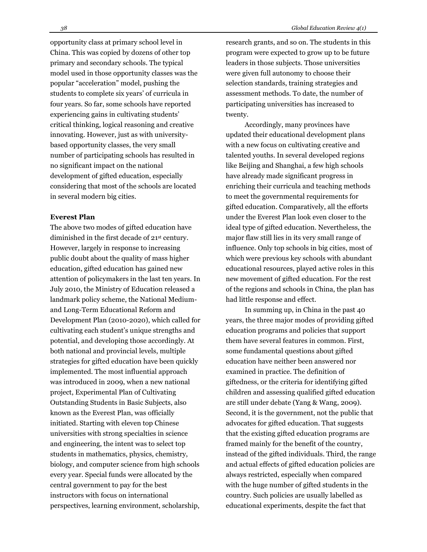opportunity class at primary school level in China. This was copied by dozens of other top primary and secondary schools. The typical model used in those opportunity classes was the popular "acceleration" model, pushing the students to complete six years' of curricula in four years. So far, some schools have reported experiencing gains in cultivating students' critical thinking, logical reasoning and creative innovating. However, just as with universitybased opportunity classes, the very small number of participating schools has resulted in no significant impact on the national development of gifted education, especially considering that most of the schools are located in several modern big cities.

### **Everest Plan**

The above two modes of gifted education have diminished in the first decade of 21st century. However, largely in response to increasing public doubt about the quality of mass higher education, gifted education has gained new attention of policymakers in the last ten years. In July 2010, the Ministry of Education released a landmark policy scheme, the National Mediumand Long-Term Educational Reform and Development Plan (2010-2020), which called for cultivating each student's unique strengths and potential, and developing those accordingly. At both national and provincial levels, multiple strategies for gifted education have been quickly implemented. The most influential approach was introduced in 2009, when a new national project, Experimental Plan of Cultivating Outstanding Students in Basic Subjects, also known as the Everest Plan, was officially initiated. Starting with eleven top Chinese universities with strong specialties in science and engineering, the intent was to select top students in mathematics, physics, chemistry, biology, and computer science from high schools every year. Special funds were allocated by the central government to pay for the best instructors with focus on international perspectives, learning environment, scholarship,

research grants, and so on. The students in this program were expected to grow up to be future leaders in those subjects. Those universities were given full autonomy to choose their selection standards, training strategies and assessment methods. To date, the number of participating universities has increased to twenty.

Accordingly, many provinces have updated their educational development plans with a new focus on cultivating creative and talented youths. In several developed regions like Beijing and Shanghai, a few high schools have already made significant progress in enriching their curricula and teaching methods to meet the governmental requirements for gifted education. Comparatively, all the efforts under the Everest Plan look even closer to the ideal type of gifted education. Nevertheless, the major flaw still lies in its very small range of influence. Only top schools in big cities, most of which were previous key schools with abundant educational resources, played active roles in this new movement of gifted education. For the rest of the regions and schools in China, the plan has had little response and effect.

In summing up, in China in the past 40 years, the three major modes of providing gifted education programs and policies that support them have several features in common. First, some fundamental questions about gifted education have neither been answered nor examined in practice. The definition of giftedness, or the criteria for identifying gifted children and assessing qualified gifted education are still under debate (Yang & Wang, 2009). Second, it is the government, not the public that advocates for gifted education. That suggests that the existing gifted education programs are framed mainly for the benefit of the country, instead of the gifted individuals. Third, the range and actual effects of gifted education policies are always restricted, especially when compared with the huge number of gifted students in the country. Such policies are usually labelled as educational experiments, despite the fact that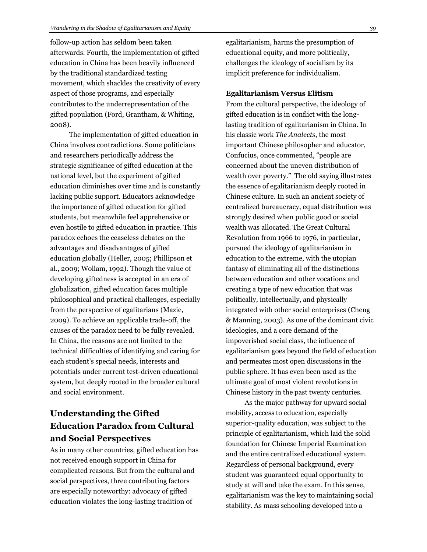follow-up action has seldom been taken afterwards. Fourth, the implementation of gifted education in China has been heavily influenced by the traditional standardized testing movement, which shackles the creativity of every aspect of those programs, and especially contributes to the underrepresentation of the gifted population (Ford, Grantham, & Whiting, 2008).

The implementation of gifted education in China involves contradictions. Some politicians and researchers periodically address the strategic significance of gifted education at the national level, but the experiment of gifted education diminishes over time and is constantly lacking public support. Educators acknowledge the importance of gifted education for gifted students, but meanwhile feel apprehensive or even hostile to gifted education in practice. This paradox echoes the ceaseless debates on the advantages and disadvantages of gifted education globally (Heller, 2005; Phillipson et al., 2009; Wollam, 1992). Though the value of developing giftedness is accepted in an era of globalization, gifted education faces multiple philosophical and practical challenges, especially from the perspective of egalitarians (Mazie, 2009). To achieve an applicable trade-off, the causes of the paradox need to be fully revealed. In China, the reasons are not limited to the technical difficulties of identifying and caring for each student's special needs, interests and potentials under current test-driven educational system, but deeply rooted in the broader cultural and social environment.

## **Understanding the Gifted Education Paradox from Cultural and Social Perspectives**

As in many other countries, gifted education has not received enough support in China for complicated reasons. But from the cultural and social perspectives, three contributing factors are especially noteworthy: advocacy of gifted education violates the long-lasting tradition of

egalitarianism, harms the presumption of educational equity, and more politically, challenges the ideology of socialism by its implicit preference for individualism.

### **Egalitarianism Versus Elitism**

From the cultural perspective, the ideology of gifted education is in conflict with the longlasting tradition of egalitarianism in China. In his classic work *The Analects*, the most important Chinese philosopher and educator, Confucius, once commented, "people are concerned about the uneven distribution of wealth over poverty." The old saying illustrates the essence of egalitarianism deeply rooted in Chinese culture. In such an ancient society of centralized bureaucracy, equal distribution was strongly desired when public good or social wealth was allocated. The Great Cultural Revolution from 1966 to 1976, in particular, pursued the ideology of egalitarianism in education to the extreme, with the utopian fantasy of eliminating all of the distinctions between education and other vocations and creating a type of new education that was politically, intellectually, and physically integrated with other social enterprises (Cheng & Manning, 2003). As one of the dominant civic ideologies, and a core demand of the impoverished social class, the influence of egalitarianism goes beyond the field of education and permeates most open discussions in the public sphere. It has even been used as the ultimate goal of most violent revolutions in Chinese history in the past twenty centuries.

As the major pathway for upward social mobility, access to education, especially superior-quality education, was subject to the principle of egalitarianism, which laid the solid foundation for Chinese Imperial Examination and the entire centralized educational system. Regardless of personal background, every student was guaranteed equal opportunity to study at will and take the exam. In this sense, egalitarianism was the key to maintaining social stability. As mass schooling developed into a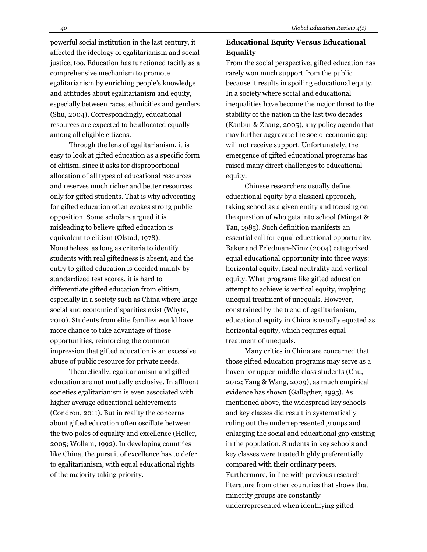powerful social institution in the last century, it affected the ideology of egalitarianism and social justice, too. Education has functioned tacitly as a comprehensive mechanism to promote egalitarianism by enriching people's knowledge and attitudes about egalitarianism and equity, especially between races, ethnicities and genders (Shu, 2004). Correspondingly, educational resources are expected to be allocated equally among all eligible citizens.

Through the lens of egalitarianism, it is easy to look at gifted education as a specific form of elitism, since it asks for disproportional allocation of all types of educational resources and reserves much richer and better resources only for gifted students. That is why advocating for gifted education often evokes strong public opposition. Some scholars argued it is misleading to believe gifted education is equivalent to elitism (Olstad, 1978). Nonetheless, as long as criteria to identify students with real giftedness is absent, and the entry to gifted education is decided mainly by standardized test scores, it is hard to differentiate gifted education from elitism, especially in a society such as China where large social and economic disparities exist (Whyte, 2010). Students from elite families would have more chance to take advantage of those opportunities, reinforcing the common impression that gifted education is an excessive abuse of public resource for private needs.

Theoretically, egalitarianism and gifted education are not mutually exclusive. In affluent societies egalitarianism is even associated with higher average educational achievements (Condron, 2011). But in reality the concerns about gifted education often oscillate between the two poles of equality and excellence (Heller, 2005; Wollam, 1992). In developing countries like China, the pursuit of excellence has to defer to egalitarianism, with equal educational rights of the majority taking priority.

### **Educational Equity Versus Educational Equality**

From the social perspective, gifted education has rarely won much support from the public because it results in spoiling educational equity. In a society where social and educational inequalities have become the major threat to the stability of the nation in the last two decades (Kanbur & Zhang, 2005), any policy agenda that may further aggravate the socio-economic gap will not receive support. Unfortunately, the emergence of gifted educational programs has raised many direct challenges to educational equity.

Chinese researchers usually define educational equity by a classical approach, taking school as a given entity and focusing on the question of who gets into school (Mingat & Tan, 1985). Such definition manifests an essential call for equal educational opportunity. Baker and Friedman-Nimz (2004) categorized equal educational opportunity into three ways: horizontal equity, fiscal neutrality and vertical equity. What programs like gifted education attempt to achieve is vertical equity, implying unequal treatment of unequals. However, constrained by the trend of egalitarianism, educational equity in China is usually equated as horizontal equity, which requires equal treatment of unequals.

Many critics in China are concerned that those gifted education programs may serve as a haven for upper-middle-class students (Chu, 2012; Yang & Wang, 2009), as much empirical evidence has shown (Gallagher, 1995). As mentioned above, the widespread key schools and key classes did result in systematically ruling out the underrepresented groups and enlarging the social and educational gap existing in the population. Students in key schools and key classes were treated highly preferentially compared with their ordinary peers. Furthermore, in line with previous research literature from other countries that shows that minority groups are constantly underrepresented when identifying gifted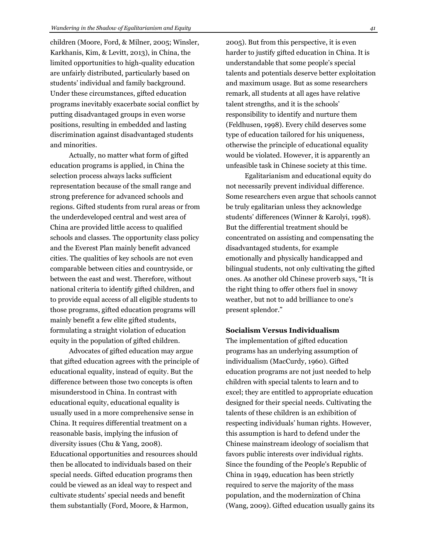children (Moore, Ford, & Milner, 2005; Winsler, Karkhanis, Kim, & Levitt, 2013), in China, the limited opportunities to high-quality education are unfairly distributed, particularly based on students' individual and family background. Under these circumstances, gifted education programs inevitably exacerbate social conflict by putting disadvantaged groups in even worse positions, resulting in embedded and lasting discrimination against disadvantaged students and minorities.

Actually, no matter what form of gifted education programs is applied, in China the selection process always lacks sufficient representation because of the small range and strong preference for advanced schools and regions. Gifted students from rural areas or from the underdeveloped central and west area of China are provided little access to qualified schools and classes. The opportunity class policy and the Everest Plan mainly benefit advanced cities. The qualities of key schools are not even comparable between cities and countryside, or between the east and west. Therefore, without national criteria to identify gifted children, and to provide equal access of all eligible students to those programs, gifted education programs will mainly benefit a few elite gifted students, formulating a straight violation of education equity in the population of gifted children.

Advocates of gifted education may argue that gifted education agrees with the principle of educational equality, instead of equity. But the difference between those two concepts is often misunderstood in China. In contrast with educational equity, educational equality is usually used in a more comprehensive sense in China. It requires differential treatment on a reasonable basis, implying the infusion of diversity issues (Chu & Yang, 2008). Educational opportunities and resources should then be allocated to individuals based on their special needs. Gifted education programs then could be viewed as an ideal way to respect and cultivate students' special needs and benefit them substantially (Ford, Moore, & Harmon,

2005). But from this perspective, it is even harder to justify gifted education in China. It is understandable that some people's special talents and potentials deserve better exploitation and maximum usage. But as some researchers remark, all students at all ages have relative talent strengths, and it is the schools' responsibility to identify and nurture them (Feldhusen, 1998). Every child deserves some type of education tailored for his uniqueness, otherwise the principle of educational equality would be violated. However, it is apparently an unfeasible task in Chinese society at this time.

Egalitarianism and educational equity do not necessarily prevent individual difference. Some researchers even argue that schools cannot be truly egalitarian unless they acknowledge students' differences (Winner & Karolyi, 1998). But the differential treatment should be concentrated on assisting and compensating the disadvantaged students, for example emotionally and physically handicapped and bilingual students, not only cultivating the gifted ones. As another old Chinese proverb says, "It is the right thing to offer others fuel in snowy weather, but not to add brilliance to one's present splendor."

### **Socialism Versus Individualism**

The implementation of gifted education programs has an underlying assumption of individualism (MacCurdy, 1960). Gifted education programs are not just needed to help children with special talents to learn and to excel; they are entitled to appropriate education designed for their special needs. Cultivating the talents of these children is an exhibition of respecting individuals' human rights. However, this assumption is hard to defend under the Chinese mainstream ideology of socialism that favors public interests over individual rights. Since the founding of the People's Republic of China in 1949, education has been strictly required to serve the majority of the mass population, and the modernization of China (Wang, 2009). Gifted education usually gains its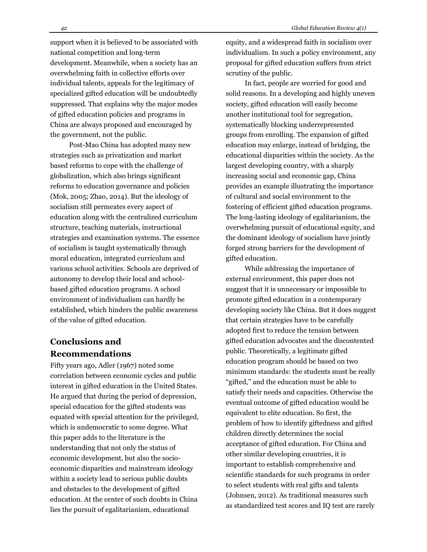support when it is believed to be associated with national competition and long-term development. Meanwhile, when a society has an overwhelming faith in collective efforts over individual talents, appeals for the legitimacy of specialized gifted education will be undoubtedly suppressed. That explains why the major modes of gifted education policies and programs in China are always proposed and encouraged by the government, not the public.

Post-Mao China has adopted many new strategies such as privatization and market based reforms to cope with the challenge of globalization, which also brings significant reforms to education governance and policies (Mok, 2005; Zhao, 2014). But the ideology of socialism still permeates every aspect of education along with the centralized curriculum structure, teaching materials, instructional strategies and examination systems. The essence of socialism is taught systematically through moral education, integrated curriculum and various school activities. Schools are deprived of autonomy to develop their local and schoolbased gifted education programs. A school environment of individualism can hardly be established, which hinders the public awareness of the value of gifted education.

## **Conclusions and Recommendations**

Fifty years ago, Adler (1967) noted some correlation between economic cycles and public interest in gifted education in the United States. He argued that during the period of depression, special education for the gifted students was equated with special attention for the privileged, which is undemocratic to some degree. What this paper adds to the literature is the understanding that not only the status of economic development, but also the socioeconomic disparities and mainstream ideology within a society lead to serious public doubts and obstacles to the development of gifted education. At the center of such doubts in China lies the pursuit of egalitarianism, educational

equity, and a widespread faith in socialism over individualism. In such a policy environment, any proposal for gifted education suffers from strict scrutiny of the public.

In fact, people are worried for good and solid reasons. In a developing and highly uneven society, gifted education will easily become another institutional tool for segregation, systematically blocking underrepresented groups from enrolling. The expansion of gifted education may enlarge, instead of bridging, the educational disparities within the society. As the largest developing country, with a sharply increasing social and economic gap, China provides an example illustrating the importance of cultural and social environment to the fostering of efficient gifted education programs. The long-lasting ideology of egalitarianism, the overwhelming pursuit of educational equity, and the dominant ideology of socialism have jointly forged strong barriers for the development of gifted education.

While addressing the importance of external environment, this paper does not suggest that it is unnecessary or impossible to promote gifted education in a contemporary developing society like China. But it does suggest that certain strategies have to be carefully adopted first to reduce the tension between gifted education advocates and the discontented public. Theoretically, a legitimate gifted education program should be based on two minimum standards: the students must be really "gifted," and the education must be able to satisfy their needs and capacities. Otherwise the eventual outcome of gifted education would be equivalent to elite education. So first, the problem of how to identify giftedness and gifted children directly determines the social acceptance of gifted education. For China and other similar developing countries, it is important to establish comprehensive and scientific standards for such programs in order to select students with real gifts and talents (Johnsen, 2012). As traditional measures such as standardized test scores and IQ test are rarely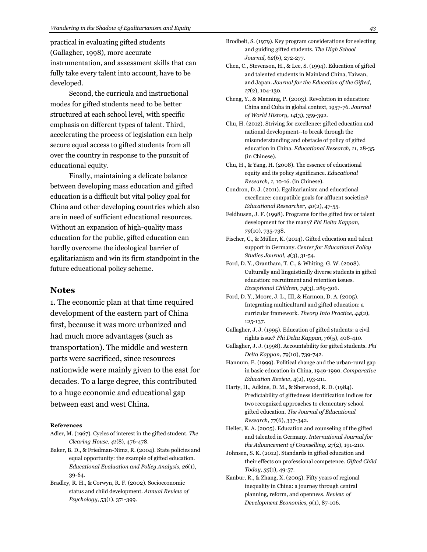practical in evaluating gifted students (Gallagher, 1998), more accurate instrumentation, and assessment skills that can fully take every talent into account, have to be developed.

Second, the curricula and instructional modes for gifted students need to be better structured at each school level, with specific emphasis on different types of talent. Third, accelerating the process of legislation can help secure equal access to gifted students from all over the country in response to the pursuit of educational equity.

Finally, maintaining a delicate balance between developing mass education and gifted education is a difficult but vital policy goal for China and other developing countries which also are in need of sufficient educational resources. Without an expansion of high-quality mass education for the public, gifted education can hardly overcome the ideological barrier of egalitarianism and win its firm standpoint in the future educational policy scheme.

### **Notes**

1. The economic plan at that time required development of the eastern part of China first, because it was more urbanized and had much more advantages (such as transportation). The middle and western parts were sacrificed, since resources nationwide were mainly given to the east for decades. To a large degree, this contributed to a huge economic and educational gap between east and west China.

#### **References**

- Adler, M. (1967). Cycles of interest in the gifted student. *The Clearing House, 41*(8), 476-478.
- Baker, B. D., & Friedman-Nimz, R. (2004). State policies and equal opportunity: the example of gifted education. *Educational Evaluation and Policy Analysis, 26*(1), 39-64.
- Bradley, R. H., & Corwyn, R. F. (2002). Socioeconomic status and child development. *Annual Review of Psychology, 53*(1), 371-399.
- Brodbelt, S. (1979). Key program considerations for selecting and guiding gifted students. *The High School Journal, 62*(6), 272-277.
- Chen, C., Stevenson, H., & Lee, S. (1994). Education of gifted and talented students in Mainland China, Taiwan, and Japan. *Journal for the Education of the Gifted, 17*(2), 104-130.
- Cheng, Y., & Manning, P. (2003). Revolution in education: China and Cuba in global context, 1957-76. *Journal of World History, 14*(3), 359-392.
- Chu, H. (2012). Striving for excellence: gifted education and national development--to break through the misunderstanding and obstacle of policy of gifted education in China. *Educational Research, 11,* 28-35. (in Chinese).
- Chu, H., & Yang, H. (2008). The essence of educational equity and its policy significance. *Educational Research, 1,* 10-16. (in Chinese).
- Condron, D. J. (2011). Egalitarianism and educational excellence: compatible goals for affluent societies? *Educational Researcher, 40*(2), 47-55.
- Feldhusen, J. F. (1998). Programs for the gifted few or talent development for the many? *Phi Delta Kappan, 79*(10), 735-738.
- Fischer, C., & Müller, K. (2014). Gifted education and talent support in Germany. *Center for Educational Policy Studies Journal, 4*(3), 31-54.
- Ford, D. Y., Grantham, T. C., & Whiting, G. W. (2008). Culturally and linguistically diverse students in gifted education: recruitment and retention issues. *Exceptional Children, 74*(3), 289-306.
- Ford, D. Y., Moore, J. L., III, & Harmon, D. A. (2005). Integrating multicultural and gifted education: a curricular framework. *Theory Into Practice, 44*(2), 125-137.
- Gallagher, J. J. (1995). Education of gifted students: a civil rights issue? *Phi Delta Kappan, 76*(5), 408-410.
- Gallagher, J. J. (1998). Accountability for gifted students. *Phi Delta Kappan, 79*(10), 739-742.
- Hannum, E. (1999). Political change and the urban-rural gap in basic education in China, 1949-1990. *Comparative Education Review*, 4(2), 193-211.
- Harty, H., Adkins, D. M., & Sherwood, R. D. (1984). Predictability of giftedness identification indices for two recognized approaches to elementary school gifted education. *The Journal of Educational Research, 77*(6), 337-342.
- Heller, K. A. (2005). Education and counseling of the gifted and talented in Germany. *International Journal for the Advancement of Counselling, 27*(2), 191-210.
- Johnsen, S. K. (2012). Standards in gifted education and their effects on professional competence. *Gifted Child Today, 35*(1), 49-57.
- Kanbur, R., & Zhang, X. (2005). Fifty years of regional inequality in China: a journey through central planning, reform, and openness. *Review of Development Economics, 9*(1), 87-106.